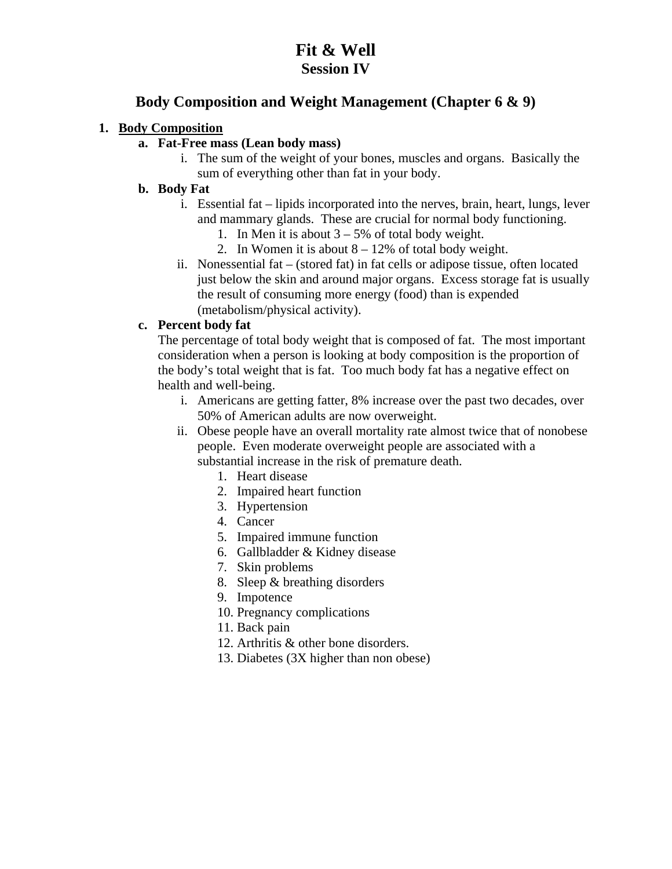### **Fit & Well Session IV**

### **Body Composition and Weight Management (Chapter 6 & 9)**

#### **1. Body Composition**

- **a. Fat-Free mass (Lean body mass)** 
	- i. The sum of the weight of your bones, muscles and organs. Basically the sum of everything other than fat in your body.

#### **b. Body Fat**

- i. Essential fat lipids incorporated into the nerves, brain, heart, lungs, lever and mammary glands. These are crucial for normal body functioning.
	- 1. In Men it is about  $3 5%$  of total body weight.
	- 2. In Women it is about  $8 12\%$  of total body weight.
- ii. Nonessential fat (stored fat) in fat cells or adipose tissue, often located just below the skin and around major organs. Excess storage fat is usually the result of consuming more energy (food) than is expended (metabolism/physical activity).

#### **c. Percent body fat**

The percentage of total body weight that is composed of fat. The most important consideration when a person is looking at body composition is the proportion of the body's total weight that is fat. Too much body fat has a negative effect on health and well-being.

- i. Americans are getting fatter, 8% increase over the past two decades, over 50% of American adults are now overweight.
- ii. Obese people have an overall mortality rate almost twice that of nonobese people. Even moderate overweight people are associated with a substantial increase in the risk of premature death.
	- 1. Heart disease
	- 2. Impaired heart function
	- 3. Hypertension
	- 4. Cancer
	- 5. Impaired immune function
	- 6. Gallbladder & Kidney disease
	- 7. Skin problems
	- 8. Sleep & breathing disorders
	- 9. Impotence
	- 10. Pregnancy complications
	- 11. Back pain
	- 12. Arthritis & other bone disorders.
	- 13. Diabetes (3X higher than non obese)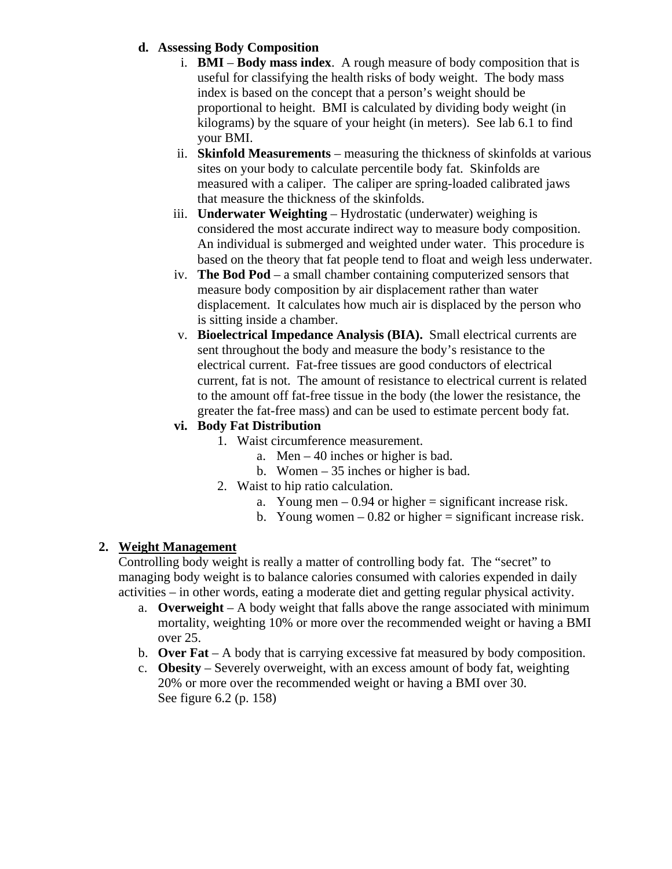#### **d. Assessing Body Composition**

- i. **BMI Body mass index**. A rough measure of body composition that is useful for classifying the health risks of body weight. The body mass index is based on the concept that a person's weight should be proportional to height. BMI is calculated by dividing body weight (in kilograms) by the square of your height (in meters). See lab 6.1 to find your BMI.
- ii. **Skinfold Measurements** measuring the thickness of skinfolds at various sites on your body to calculate percentile body fat. Skinfolds are measured with a caliper. The caliper are spring-loaded calibrated jaws that measure the thickness of the skinfolds.
- iii. **Underwater Weighting** Hydrostatic (underwater) weighing is considered the most accurate indirect way to measure body composition. An individual is submerged and weighted under water. This procedure is based on the theory that fat people tend to float and weigh less underwater.
- iv. **The Bod Pod** a small chamber containing computerized sensors that measure body composition by air displacement rather than water displacement. It calculates how much air is displaced by the person who is sitting inside a chamber.
- v. **Bioelectrical Impedance Analysis (BIA).** Small electrical currents are sent throughout the body and measure the body's resistance to the electrical current. Fat-free tissues are good conductors of electrical current, fat is not. The amount of resistance to electrical current is related to the amount off fat-free tissue in the body (the lower the resistance, the greater the fat-free mass) and can be used to estimate percent body fat.

### **vi. Body Fat Distribution**

- 1. Waist circumference measurement.
	- a. Men 40 inches or higher is bad.
	- b. Women 35 inches or higher is bad.
- 2. Waist to hip ratio calculation.
	- a. Young men  $-0.94$  or higher  $=$  significant increase risk.
	- b. Young women  $-0.82$  or higher  $=$  significant increase risk.

### **2. Weight Management**

Controlling body weight is really a matter of controlling body fat. The "secret" to managing body weight is to balance calories consumed with calories expended in daily activities – in other words, eating a moderate diet and getting regular physical activity.

- a. **Overweight** A body weight that falls above the range associated with minimum mortality, weighting 10% or more over the recommended weight or having a BMI over 25.
- b. **Over Fat** A body that is carrying excessive fat measured by body composition.
- c. **Obesity** Severely overweight, with an excess amount of body fat, weighting 20% or more over the recommended weight or having a BMI over 30. See figure 6.2 (p. 158)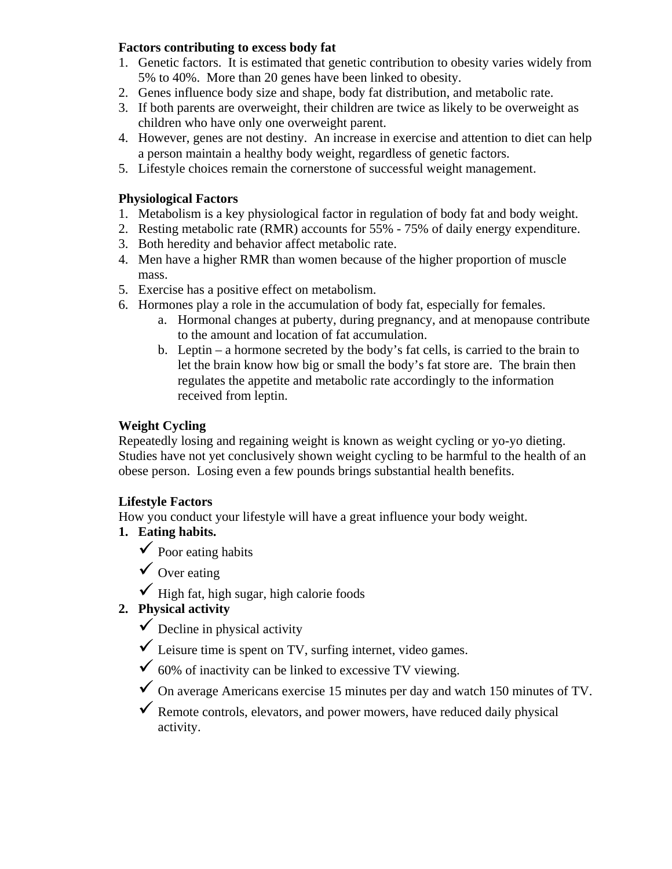#### **Factors contributing to excess body fat**

- 1. Genetic factors. It is estimated that genetic contribution to obesity varies widely from 5% to 40%. More than 20 genes have been linked to obesity.
- 2. Genes influence body size and shape, body fat distribution, and metabolic rate.
- 3. If both parents are overweight, their children are twice as likely to be overweight as children who have only one overweight parent.
- 4. However, genes are not destiny. An increase in exercise and attention to diet can help a person maintain a healthy body weight, regardless of genetic factors.
- 5. Lifestyle choices remain the cornerstone of successful weight management.

#### **Physiological Factors**

- 1. Metabolism is a key physiological factor in regulation of body fat and body weight.
- 2. Resting metabolic rate (RMR) accounts for 55% 75% of daily energy expenditure.
- 3. Both heredity and behavior affect metabolic rate.
- 4. Men have a higher RMR than women because of the higher proportion of muscle mass.
- 5. Exercise has a positive effect on metabolism.
- 6. Hormones play a role in the accumulation of body fat, especially for females.
	- a. Hormonal changes at puberty, during pregnancy, and at menopause contribute to the amount and location of fat accumulation.
	- b. Leptin a hormone secreted by the body's fat cells, is carried to the brain to let the brain know how big or small the body's fat store are. The brain then regulates the appetite and metabolic rate accordingly to the information received from leptin.

### **Weight Cycling**

Repeatedly losing and regaining weight is known as weight cycling or yo-yo dieting. Studies have not yet conclusively shown weight cycling to be harmful to the health of an obese person. Losing even a few pounds brings substantial health benefits.

### **Lifestyle Factors**

How you conduct your lifestyle will have a great influence your body weight.

- **1. Eating habits.** 
	- $\checkmark$  Poor eating habits

 $\checkmark$  Over eating

 $\checkmark$  High fat, high sugar, high calorie foods

### **2. Physical activity**

- $\checkmark$  Decline in physical activity
- $\checkmark$  Leisure time is spent on TV, surfing internet, video games.
- $\checkmark$  60% of inactivity can be linked to excessive TV viewing.
- $\checkmark$  On average Americans exercise 15 minutes per day and watch 150 minutes of TV.
- $\checkmark$  Remote controls, elevators, and power mowers, have reduced daily physical activity.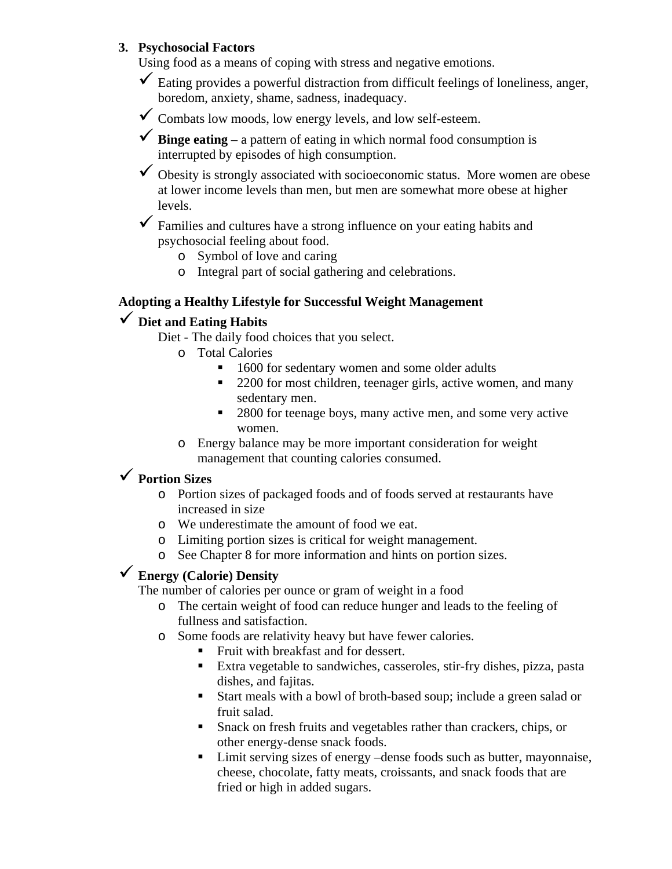#### **3. Psychosocial Factors**

Using food as a means of coping with stress and negative emotions.

- $\checkmark$  Eating provides a powerful distraction from difficult feelings of loneliness, anger, boredom, anxiety, shame, sadness, inadequacy.
- $\checkmark$  Combats low moods, low energy levels, and low self-esteem.

 $\checkmark$  **Binge eating** – a pattern of eating in which normal food consumption is interrupted by episodes of high consumption.

 $\checkmark$  Obesity is strongly associated with socioeconomic status. More women are obese at lower income levels than men, but men are somewhat more obese at higher levels.

 Families and cultures have a strong influence on your eating habits and psychosocial feeling about food.

- o Symbol of love and caring
- o Integral part of social gathering and celebrations.

### **Adopting a Healthy Lifestyle for Successful Weight Management**

# **Diet and Eating Habits**

Diet - The daily food choices that you select.

- o Total Calories
	- 1600 for sedentary women and some older adults
	- 2200 for most children, teenager girls, active women, and many sedentary men.
	- 2800 for teenage boys, many active men, and some very active women.
- o Energy balance may be more important consideration for weight management that counting calories consumed.

# **Portion Sizes**

- o Portion sizes of packaged foods and of foods served at restaurants have increased in size
- o We underestimate the amount of food we eat.
- o Limiting portion sizes is critical for weight management.
- o See Chapter 8 for more information and hints on portion sizes.

### **Energy (Calorie) Density**

The number of calories per ounce or gram of weight in a food

- o The certain weight of food can reduce hunger and leads to the feeling of fullness and satisfaction.
- o Some foods are relativity heavy but have fewer calories.
	- Fruit with breakfast and for dessert.
	- Extra vegetable to sandwiches, casseroles, stir-fry dishes, pizza, pasta dishes, and fajitas.
	- Start meals with a bowl of broth-based soup; include a green salad or fruit salad.
	- Snack on fresh fruits and vegetables rather than crackers, chips, or other energy-dense snack foods.
	- Limit serving sizes of energy –dense foods such as butter, mayonnaise, cheese, chocolate, fatty meats, croissants, and snack foods that are fried or high in added sugars.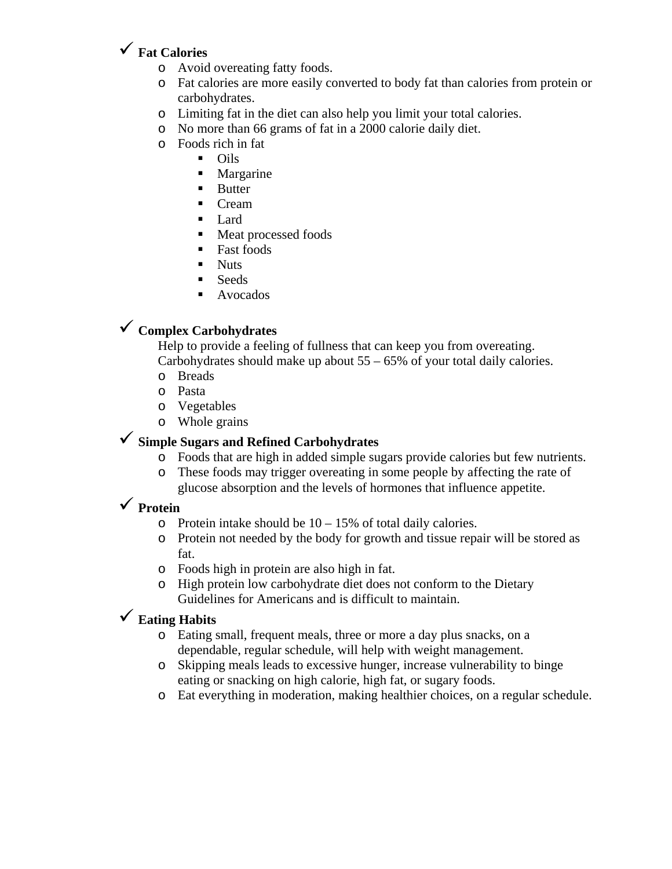## **Fat Calories**

- o Avoid overeating fatty foods.
- o Fat calories are more easily converted to body fat than calories from protein or carbohydrates.
- o Limiting fat in the diet can also help you limit your total calories.
- o No more than 66 grams of fat in a 2000 calorie daily diet.
- o Foods rich in fat
	- Oils
	- **Margarine**
	- **Butter**
	- Cream
	- $\blacksquare$  Lard
	- Meat processed foods
	- Fast foods
	- **Nuts**
	- **Seeds**
	- Avocados

# **Complex Carbohydrates**

Help to provide a feeling of fullness that can keep you from overeating. Carbohydrates should make up about 55 – 65% of your total daily calories.

- o Breads
- o Pasta o Vegetables
- o Whole grains

### **Simple Sugars and Refined Carbohydrates**

- o Foods that are high in added simple sugars provide calories but few nutrients.
- o These foods may trigger overeating in some people by affecting the rate of glucose absorption and the levels of hormones that influence appetite.

# **Protein**

- $\circ$  Protein intake should be 10 15% of total daily calories.
- o Protein not needed by the body for growth and tissue repair will be stored as fat.
- o Foods high in protein are also high in fat.
- o High protein low carbohydrate diet does not conform to the Dietary Guidelines for Americans and is difficult to maintain.

# **Eating Habits**

- o Eating small, frequent meals, three or more a day plus snacks, on a dependable, regular schedule, will help with weight management.
- o Skipping meals leads to excessive hunger, increase vulnerability to binge eating or snacking on high calorie, high fat, or sugary foods.
- o Eat everything in moderation, making healthier choices, on a regular schedule.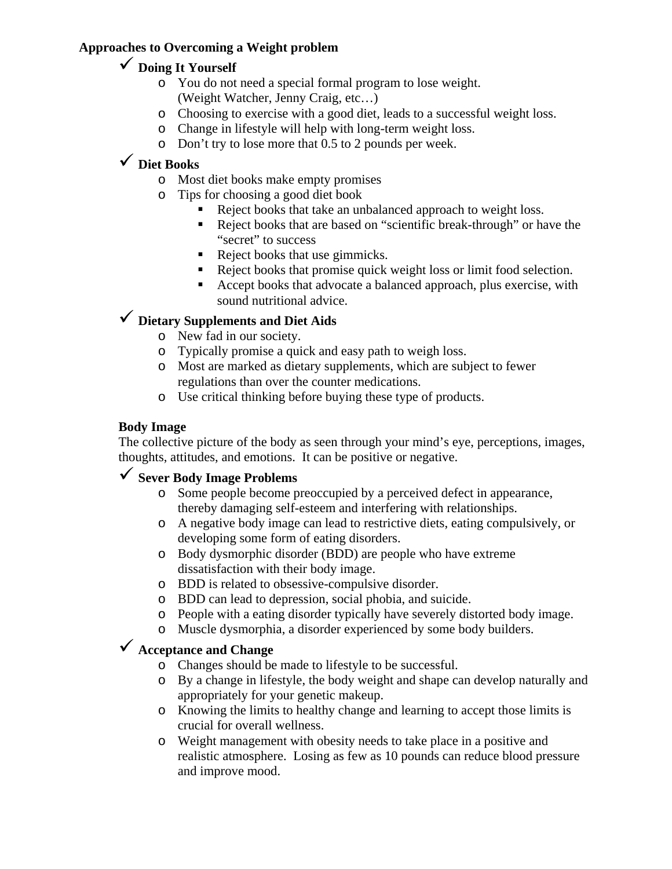### **Approaches to Overcoming a Weight problem**

## **Doing It Yourself**

- o You do not need a special formal program to lose weight. (Weight Watcher, Jenny Craig, etc…)
- o Choosing to exercise with a good diet, leads to a successful weight loss.
- o Change in lifestyle will help with long-term weight loss.
- o Don't try to lose more that 0.5 to 2 pounds per week.

# **Diet Books**

- o Most diet books make empty promises
- o Tips for choosing a good diet book
	- Reject books that take an unbalanced approach to weight loss.
	- Reject books that are based on "scientific break-through" or have the "secret" to success
	- Reject books that use gimmicks.
	- Reject books that promise quick weight loss or limit food selection.
	- Accept books that advocate a balanced approach, plus exercise, with sound nutritional advice.

# **Dietary Supplements and Diet Aids**

- o New fad in our society.
- o Typically promise a quick and easy path to weigh loss.
- o Most are marked as dietary supplements, which are subject to fewer regulations than over the counter medications.
- o Use critical thinking before buying these type of products.

### **Body Image**

The collective picture of the body as seen through your mind's eye, perceptions, images, thoughts, attitudes, and emotions. It can be positive or negative.

# **Sever Body Image Problems**

- o Some people become preoccupied by a perceived defect in appearance, thereby damaging self-esteem and interfering with relationships.
- o A negative body image can lead to restrictive diets, eating compulsively, or developing some form of eating disorders.
- o Body dysmorphic disorder (BDD) are people who have extreme dissatisfaction with their body image.
- o BDD is related to obsessive-compulsive disorder.
- o BDD can lead to depression, social phobia, and suicide.
- o People with a eating disorder typically have severely distorted body image.
- o Muscle dysmorphia, a disorder experienced by some body builders.

# **Acceptance and Change**

- o Changes should be made to lifestyle to be successful.
- o By a change in lifestyle, the body weight and shape can develop naturally and appropriately for your genetic makeup.
- o Knowing the limits to healthy change and learning to accept those limits is crucial for overall wellness.
- o Weight management with obesity needs to take place in a positive and realistic atmosphere. Losing as few as 10 pounds can reduce blood pressure and improve mood.